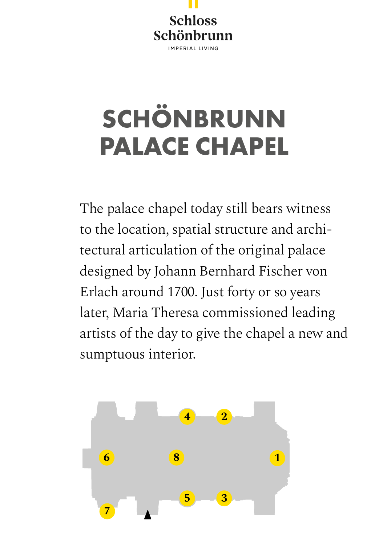

## **SCHÖNBRUNN PALACE CHAPEL**

The palace chapel today still bears witness to the location, spatial structure and architectural articulation of the original palace designed by Johann Bernhard Fischer von Erlach around 1700. Just forty or so years later, Maria Theresa commissioned leading artists of the day to give the chapel a new and sumptuous interior.

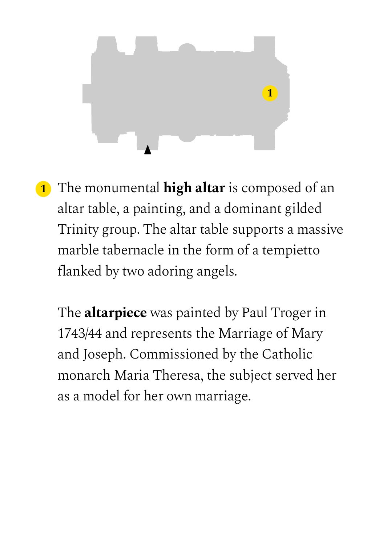

**1** The monumental **high altar** is composed of an altar table, a painting, and a dominant gilded Trinity group. The altar table supports a massive marble tabernacle in the form of a tempietto flanked by two adoring angels.

The **altarpiece** was painted by Paul Troger in 1743/44 and represents the Marriage of Mary and Joseph. Commissioned by the Catholic monarch Maria Theresa, the subject served her as a model for her own marriage.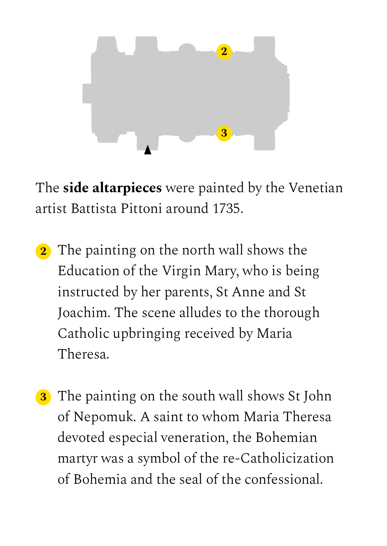

The **side altarpieces** were painted by the Venetian artist Battista Pittoni around 1735.

- **2** The painting on the north wall shows the Education of the Virgin Mary, who is being instructed by her parents, St Anne and St Joachim. The scene alludes to the thorough Catholic upbringing received by Maria Theresa.
- **3** The painting on the south wall shows St John of Nepomuk. A saint to whom Maria Theresa devoted especial veneration, the Bohemian martyr was a symbol of the re-Catholicization of Bohemia and the seal of the confessional.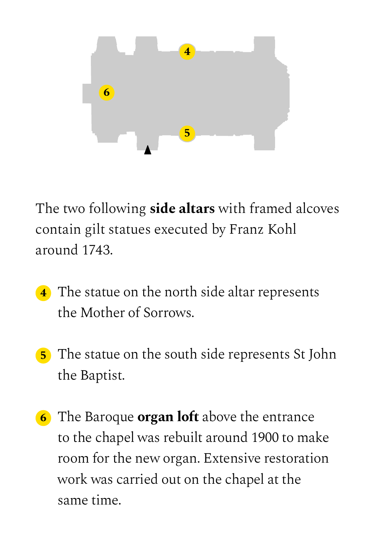

The two following **side altars** with framed alcoves contain gilt statues executed by Franz Kohl around 1743.

- **4** The statue on the north side altar represents the Mother of Sorrows.
- **5** The statue on the south side represents St John the Baptist.
- **6** The Baroque **organ loft** above the entrance to the chapel was rebuilt around 1900 to make room for the new organ. Extensive restoration work was carried out on the chapel at the same time.